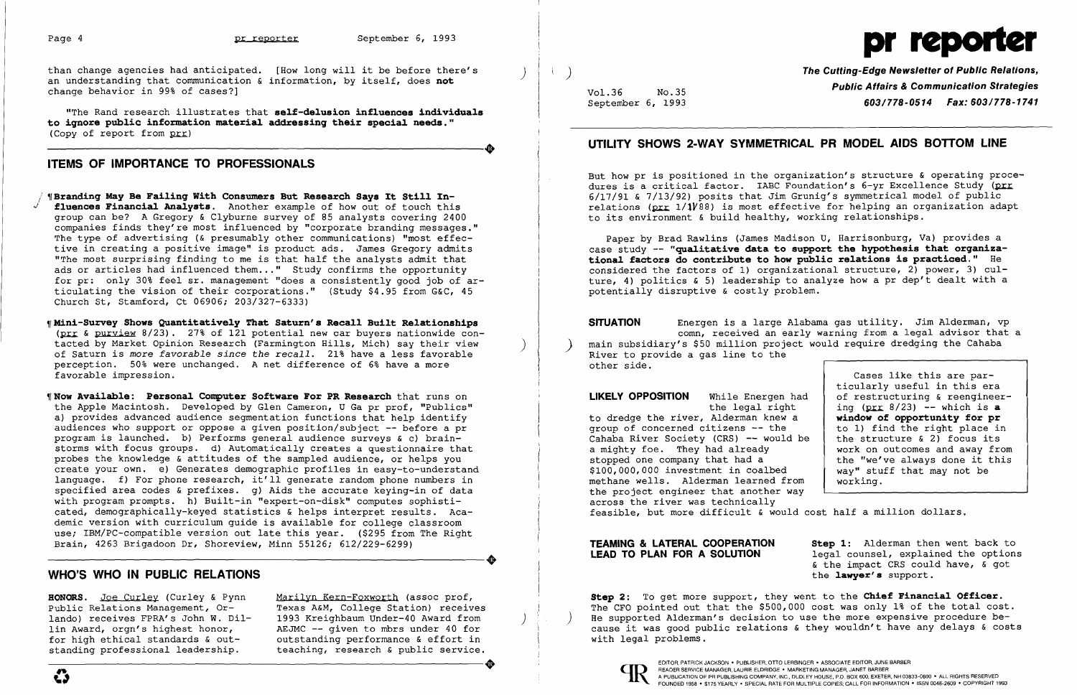

than change agencies had anticipated. [How long will it be before there's an understanding that communication & information, by itself, does **not** change behavior in 99% of cases?]

"The Rand research illustrates that self-delusion influences individuals to iqnore pub1ic information materia1 addressinq their specia1 needs." ----------------------+ (Copy of report from  $p_{rr}$ )

## ITEMS OF IMPORTANCE TO PROFESSIONALS

- "Branding May Be Failing With Consumers But Research Says It Still Influences Financial Analysts. Another example of how out of touch this group can be? A Gregory & Clyburne survey of 85 analysts covering 2400 companies finds they're most influenced by "corporate branding messages." The type of advertising (& presumably other communications) "most effective in creating a positive image" is product ads. James Gregory admits "The most surprising finding to me is that half the analysts admit that ads or articles had influenced them... " Study confirms the opportunity for pr: only 30% feel sr. management "does a consistently good job of articulating the vision of their corporations." (Study \$4.95 from G&C, 45 Church St, Stamford, Ct 06906; 203/327-6333)
- $n$  Mini-Survey Shows Quantitatively That Saturn's Recall Built Relationships dini-Surv<mark>ey Shows Quantitatively That Saturn's Recall Built Relationships</mark><br>(<u>prr</u> & <u>purview</u> 8/23). 27% of 121 potential new car buyers nationwide contacted by Market Opinion Research (Farmington Hills, Mich) say their view<br>of Saturn is more *favorable since the recall*. 21% have a less favorable of Saturn is more favorable since the recall. 21% have a less favorable perception. 50% were unchanged. A net difference of 6% have a more favorable impression.
- **'Now Available: Personal Computer Software For PR Research** that runs on the Apple Macintosh. Developed by Glen Cameron, U Ga pr prof, "Publics" a) provides advanced audience segmentation functions that help identify audiences who support or oppose a given position/subject -- before a pr program is launched. b) Performs general audience surveys & c) brain storms with focus groups. d) Automatically creates a questionnaire that probes the knowledge & attitudes of the sampled audience, or helps you create your own. e) Generates demographic profiles in easy-to-understand create your own. e) Generates demographic profiles in easy-to-understand<br>language. f) For phone research, it'll generate random phone numbers in specified area codes & prefixes.  $q$ ) Aids the accurate keying-in of data with program prompts. h) Built-in "expert-on-disk" computes sophisti cated, demographically-keyed statistics & helps interpret results. Aca demic version with curriculum guide is available for college classroom use; IBM/PC-compatible version out late this year. (\$295 from The Right ----------------------+ Brain, 4263 Brigadoon Dr, Shoreview, Minn 55126; 612/229-6299)

But how pr is positioned in the organization's structure & operating procedures is a critical factor. IABC Foundation's  $6$ -yr Excellence Study (prr 6/17/91 & 7/13/92) posits that Jim Grunig's symmetrical model of public relations ( $_{\text{DIT}}$  1/1 $\gamma$ 88) is most effective for helping an organization adapt to its environment & build healthy, working relationships.

SITUATION Energen is a large Alabama gas utility. Jim Alderman, vp comn, received an early warning from a legal advisor that a main subsidiary's \$50 million project would require dredging the Cahaba River to provide a gas line to the

LIKELY OPPOSITION While Energen ha the legal right to dredge the river, Alderman knew a

Texas A&M, College Station) receives 1993 Kreighbaum Under-40 Award from AEJMC -- given to mbrs under 40 for outstanding performance & effort in teaching, research & public service. For high ethical standards & out-<br>
standing professional leadership.<br>
Cause It was good public felactions & chey wouldn't have<br>
standing professional leadership.<br>
COTOR, PATRICK JACKSON • PUBLISHER, OTTO LERBINGER • ASSOCI

 $\left( \begin{array}{c} \end{array} \right)$ 

# WHO'S WHO IN PUBLIC RELATIONS

Step 2: To get more support, they went to the Chief Financial Officer. The CFO pointed out that the \$500,000 cost was only 1% of the total cost. He supported Alderman's decision to use the more expensive procedure because it was good public relations & they wouldn't have any delays & costs with legal problems.

Vol.36 No.35 September 6, 1993 The Cutting-Edge Newsletter of Public Relations, Public Affairs & Communication Strategies *603/778-0514 Fax: 603/778-1741* 

# UTILITY SHOWS 2-WAY SYMMETRICAL PR MODEL AIDS BOTTOM LINE

Paper by Brad Rawlins (James Madison U, Harrisonburg, Va) provides a case study -- "qua1itative data to support the hypothesis that orqanizationa1 factors do contribute to how pub1ic re1ations is practiced." He considered the factors of 1) organizational structure, 2) power, 3) culture, 4) politics & 5) leadership to analyze how a pr dep't dealt with a potentially disruptive & costly problem.

HONORS. Joe Curley (Curley & Pynn Marilyn Kern-Foxworth (assoc prof, Public Relations Management, Orlando) receives FPRA's John W. Dillin Award, orgn's highest honor, for high ethical standards & outstanding professional leadership.

other side.

group of concerned citizens -- the Cahaba River Society (CRS) -- would a mighty foe. They had already stopped one company that had a \$100,000,000 investment in coalbed methane wells. Alderman learned from the project engineer that another way working. across the river was technically feasible, but more difficult & would cost half a million dollars.

|          | Cases like this are par-        |
|----------|---------------------------------|
|          | ticularly useful in this era    |
| ad       | of restructuring & reengineer-  |
|          | ing $(prr 8/23)$ -- which is a  |
|          | window of opportunity for pr    |
|          | to 1) find the right place in   |
| be       | the structure $\& 2)$ focus its |
|          | work on outcomes and away from  |
|          | the "we've always done it this  |
|          | way" stuff that may not be      |
| Σm       | working.                        |
| $\cdots$ |                                 |

Step 1: Alderman then went back to legal counsel, explained the options & the impact CRS could have, & got the lawyer's support.

#### TEAMING & LATERAL COOPERATION LEAD TO PLAN FOR A SOLUTION

)

) (1995)<br>기<del>년</del> (1995)